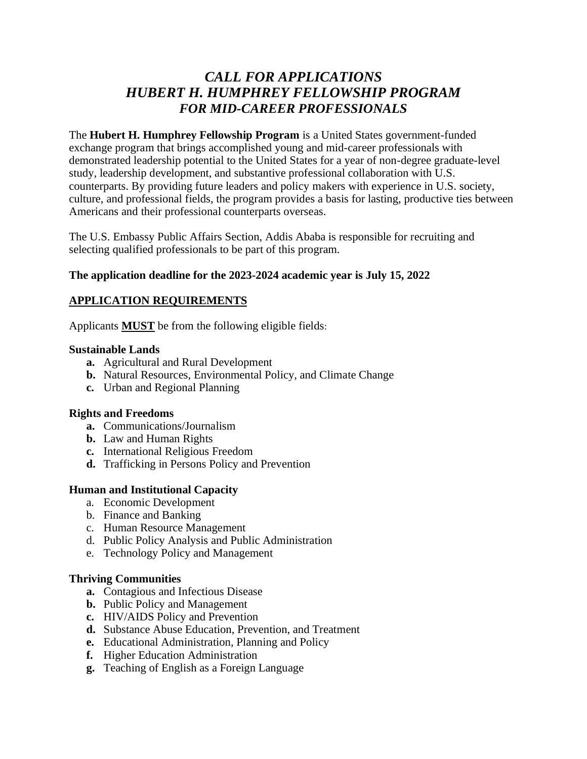# *CALL FOR APPLICATIONS HUBERT H. HUMPHREY FELLOWSHIP PROGRAM FOR MID-CAREER PROFESSIONALS*

The **Hubert H. Humphrey Fellowship Program** is a United States government-funded exchange program that brings accomplished young and mid-career professionals with demonstrated leadership potential to the United States for a year of non-degree graduate-level study, leadership development, and substantive professional collaboration with U.S. counterparts. By providing future leaders and policy makers with experience in U.S. society, culture, and professional fields, the program provides a basis for lasting, productive ties between Americans and their professional counterparts overseas.

The U.S. Embassy Public Affairs Section, Addis Ababa is responsible for recruiting and selecting qualified professionals to be part of this program.

#### **The application deadline for the 2023-2024 academic year is July 15, 2022**

### **APPLICATION REQUIREMENTS**

Applicants **MUST** be from the following eligible fields:

#### **Sustainable Lands**

- **a.** Agricultural and Rural Development
- **b.** Natural Resources, Environmental Policy, and Climate Change
- **c.** Urban and Regional Planning

#### **Rights and Freedoms**

- **a.** Communications/Journalism
- **b.** Law and Human Rights
- **c.** International Religious Freedom
- **d.** Trafficking in Persons Policy and Prevention

#### **Human and Institutional Capacity**

- a. Economic Development
- b. Finance and Banking
- c. Human Resource Management
- d. Public Policy Analysis and Public Administration
- e. Technology Policy and Management

#### **Thriving Communities**

- **a.** Contagious and Infectious Disease
- **b.** Public Policy and Management
- **c.** HIV/AIDS Policy and Prevention
- **d.** Substance Abuse Education, Prevention, and Treatment
- **e.** Educational Administration, Planning and Policy
- **f.** Higher Education Administration
- **g.** Teaching of English as a Foreign Language